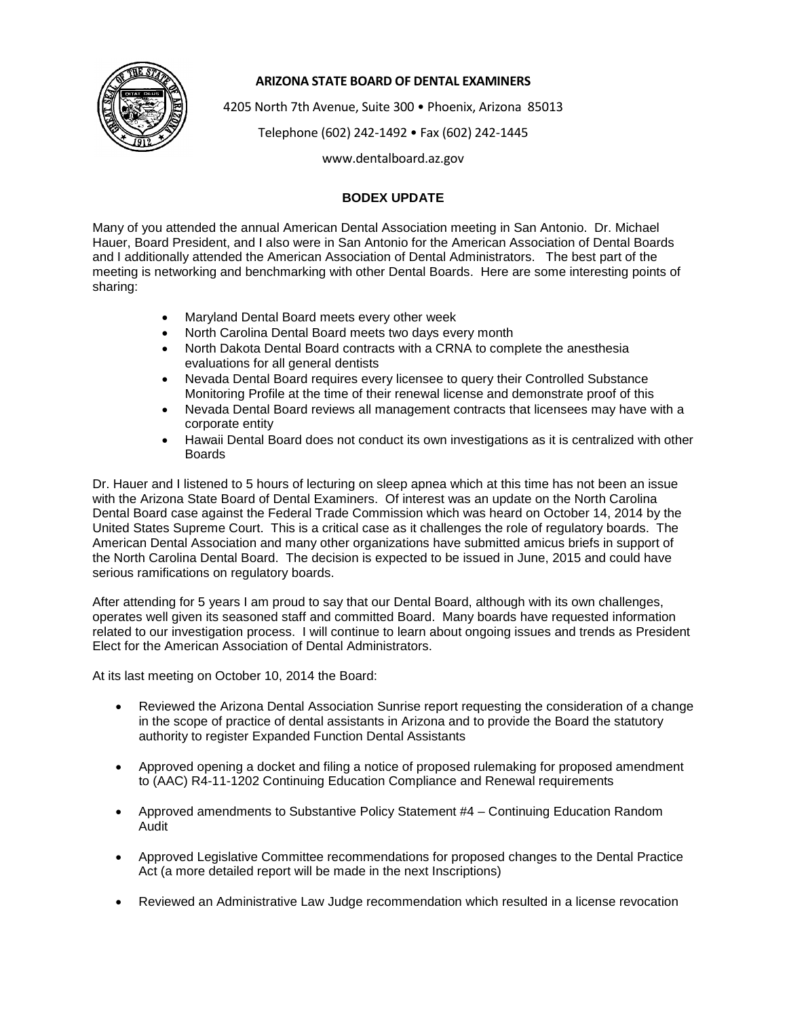

## **ARIZONA STATE BOARD OF DENTAL EXAMINERS**

4205 North 7th Avenue, Suite 300 • Phoenix, Arizona 85013

Telephone (602) 242-1492 • Fax (602) 242-1445

www.dentalboard.az.gov

## **BODEX UPDATE**

Many of you attended the annual American Dental Association meeting in San Antonio. Dr. Michael Hauer, Board President, and I also were in San Antonio for the American Association of Dental Boards and I additionally attended the American Association of Dental Administrators. The best part of the meeting is networking and benchmarking with other Dental Boards. Here are some interesting points of sharing:

- Maryland Dental Board meets every other week
- North Carolina Dental Board meets two days every month
- North Dakota Dental Board contracts with a CRNA to complete the anesthesia evaluations for all general dentists
- Nevada Dental Board requires every licensee to query their Controlled Substance Monitoring Profile at the time of their renewal license and demonstrate proof of this
- Nevada Dental Board reviews all management contracts that licensees may have with a corporate entity
- Hawaii Dental Board does not conduct its own investigations as it is centralized with other Boards

Dr. Hauer and I listened to 5 hours of lecturing on sleep apnea which at this time has not been an issue with the Arizona State Board of Dental Examiners. Of interest was an update on the North Carolina Dental Board case against the Federal Trade Commission which was heard on October 14, 2014 by the United States Supreme Court. This is a critical case as it challenges the role of regulatory boards. The American Dental Association and many other organizations have submitted amicus briefs in support of the North Carolina Dental Board. The decision is expected to be issued in June, 2015 and could have serious ramifications on regulatory boards.

After attending for 5 years I am proud to say that our Dental Board, although with its own challenges, operates well given its seasoned staff and committed Board. Many boards have requested information related to our investigation process. I will continue to learn about ongoing issues and trends as President Elect for the American Association of Dental Administrators.

At its last meeting on October 10, 2014 the Board:

- Reviewed the Arizona Dental Association Sunrise report requesting the consideration of a change in the scope of practice of dental assistants in Arizona and to provide the Board the statutory authority to register Expanded Function Dental Assistants
- Approved opening a docket and filing a notice of proposed rulemaking for proposed amendment to (AAC) R4-11-1202 Continuing Education Compliance and Renewal requirements
- Approved amendments to Substantive Policy Statement #4 Continuing Education Random Audit
- Approved Legislative Committee recommendations for proposed changes to the Dental Practice Act (a more detailed report will be made in the next Inscriptions)
- Reviewed an Administrative Law Judge recommendation which resulted in a license revocation